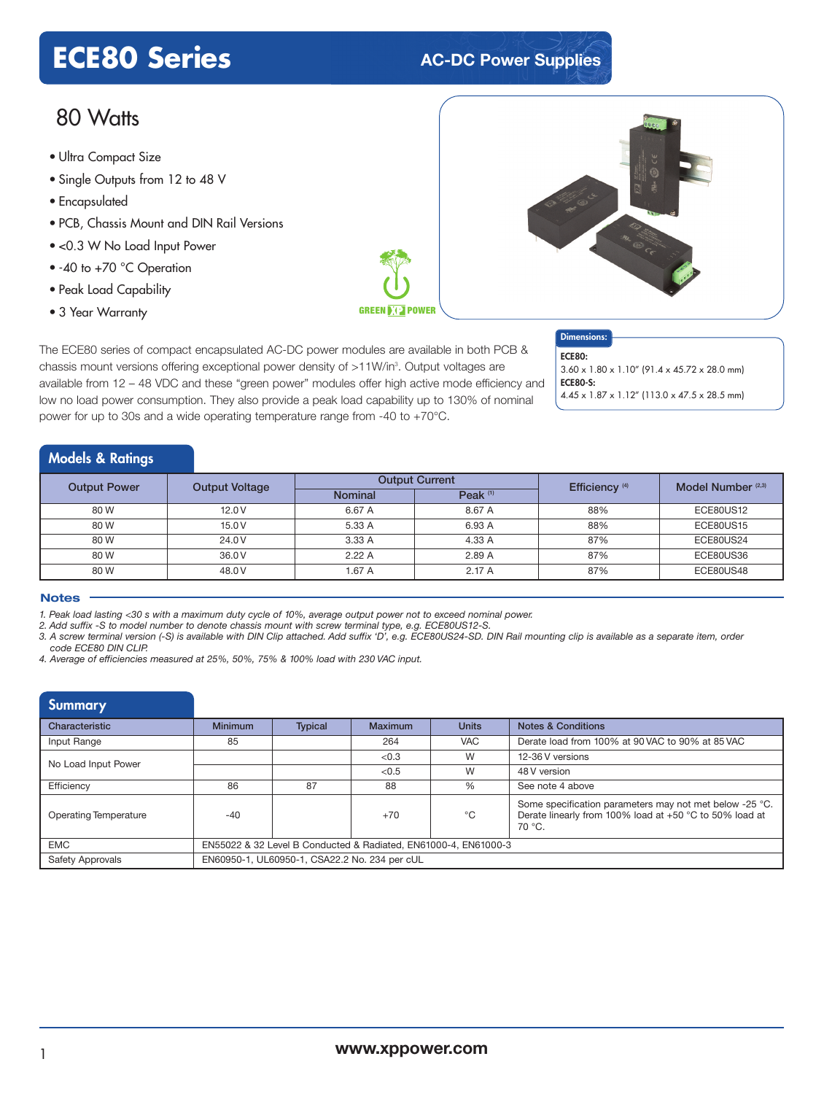# **ECE80 Series AC-DC** Power Supplies

# 80 Watts

- Ultra Compact Size
- Single Outputs from 12 to 48 V
- Encapsulated
- PCB, Chassis Mount and DIN Rail Versions
- <0.3 W No Load Input Power
- -40 to +70 °C Operation
- Peak Load Capability
- 3 Year Warranty



The ECE80 series of compact encapsulated AC-DC power modules are available in both PCB & chassis mount versions offering exceptional power density of >11W/in<sup>3</sup>. Output voltages are available from 12 – 48 VDC and these "green power" modules offer high active mode efficiency and low no load power consumption. They also provide a peak load capability up to 130% of nominal power for up to 30s and a wide operating temperature range from -40 to +70°C.

### Dimensions: ECE80:

3.60 x 1.80 x 1.10" (91.4 x 45.72 x 28.0 mm) ECE80-S: 4.45 x 1.87 x 1.12" (113.0 x 47.5 x 28.5 mm)

# Models & Ratings

| <b>Output Power</b> |                       |                | <b>Output Current</b> | Efficiency <sup>(4)</sup> | Model Number <sup>(2,3)</sup> |
|---------------------|-----------------------|----------------|-----------------------|---------------------------|-------------------------------|
|                     | <b>Output Voltage</b> | <b>Nominal</b> | Peak $(1)$            |                           |                               |
| 80 W                | 12.0V                 | 6.67 A         | 8.67 A                | 88%                       | ECE80US12                     |
| 80 W                | 15.0V                 | 5.33 A         | 6.93 A                | 88%                       | <b>ECE80US15</b>              |
| 80 W                | 24.0 V                | 3.33 A         | 4.33 A                | 87%                       | ECE80US24                     |
| 80 W                | 36.0 V                | 2.22A          | 2.89 A                | 87%                       | ECE80US36                     |
| 80 W                | 48.0 V                | 1.67 A         | 2.17A                 | 87%                       | ECE80US48                     |

### **Notes**

1. Peak load lasting <30 s with a maximum duty cycle of 10%, average output power not to exceed nominal power.

*2. Add suffix -S to model number to denote chassis mount with screw terminal type, e.g. ECE80US12-S.*

3. A screw terminal version (-S) is available with DIN Clip attached. Add suffix 'D', e.g. ECE80US24-SD. DIN Rail mounting clip is available as a separate item, order *code ECE80 DIN CLIP.*

*4. Average of efficiencies measured at 25%, 50%, 75% & 100% load with 230 VAC input.*

| Summary                 |                                                                 |                |         |              |                                                                                                                              |  |  |
|-------------------------|-----------------------------------------------------------------|----------------|---------|--------------|------------------------------------------------------------------------------------------------------------------------------|--|--|
| Characteristic          | <b>Minimum</b>                                                  | <b>Typical</b> | Maximum | <b>Units</b> | <b>Notes &amp; Conditions</b>                                                                                                |  |  |
| Input Range             | 85                                                              |                | 264     | <b>VAC</b>   | Derate load from 100% at 90 VAC to 90% at 85 VAC                                                                             |  |  |
| No Load Input Power     |                                                                 |                | < 0.3   | W            | 12-36 V versions                                                                                                             |  |  |
|                         |                                                                 |                | < 0.5   | W            | 48 V version                                                                                                                 |  |  |
| Efficiency              | 86                                                              | 87             | 88      | $\%$         | See note 4 above                                                                                                             |  |  |
| Operating Temperature   | $-40$                                                           |                | $+70$   | °C           | Some specification parameters may not met below -25 °C.<br>Derate linearly from 100% load at +50 °C to 50% load at<br>70 °C. |  |  |
| <b>EMC</b>              | EN55022 & 32 Level B Conducted & Radiated, EN61000-4, EN61000-3 |                |         |              |                                                                                                                              |  |  |
| <b>Safety Approvals</b> | EN60950-1, UL60950-1, CSA22.2 No. 234 per cUL                   |                |         |              |                                                                                                                              |  |  |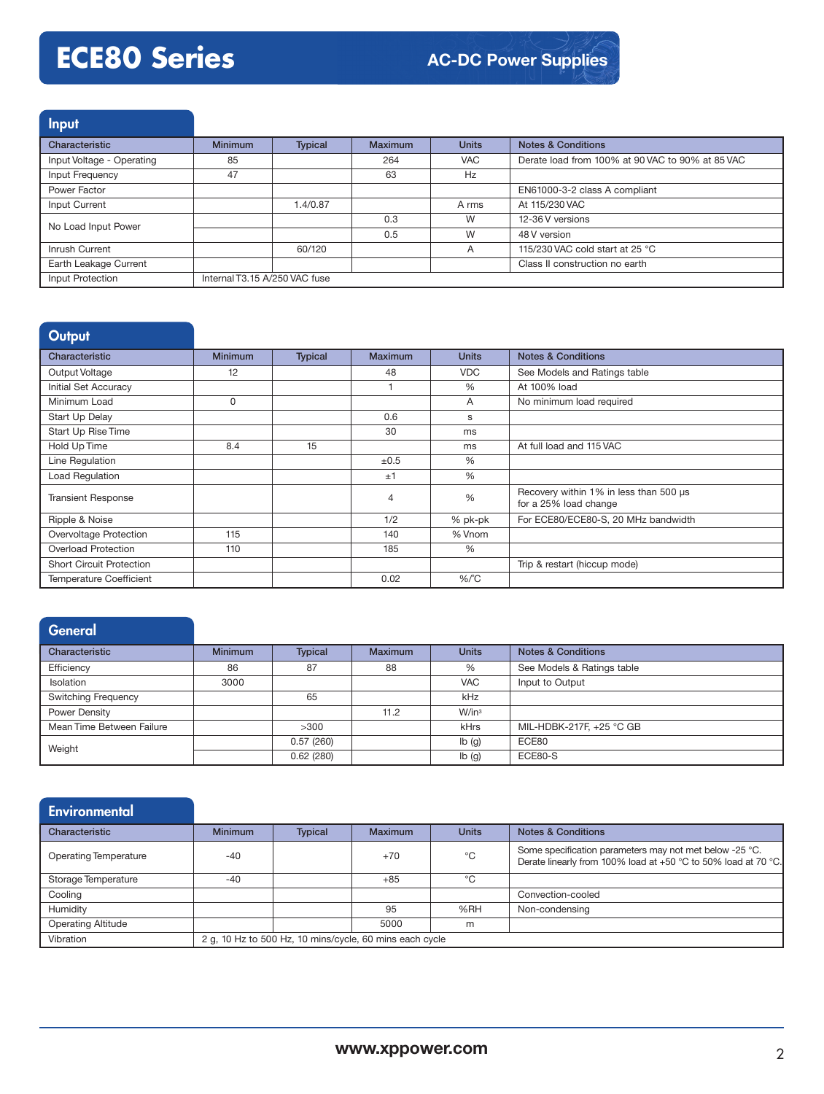# **ECE80 Series**

Input

| Characteristic            | <b>Minimum</b>                | <b>Typical</b> | <b>Maximum</b> | <b>Units</b> | <b>Notes &amp; Conditions</b>                    |
|---------------------------|-------------------------------|----------------|----------------|--------------|--------------------------------------------------|
| Input Voltage - Operating | 85                            |                | 264            | <b>VAC</b>   | Derate load from 100% at 90 VAC to 90% at 85 VAC |
| Input Frequency           | 47                            |                | 63             | Hz           |                                                  |
| Power Factor              |                               |                |                |              | EN61000-3-2 class A compliant                    |
| Input Current             |                               | 1.4/0.87       |                | A rms        | At 115/230 VAC                                   |
| No Load Input Power       |                               |                | 0.3            | W            | 12-36 V versions                                 |
|                           |                               |                | 0.5            | W            | 48 V version                                     |
| Inrush Current            |                               | 60/120         |                | A            | 115/230 VAC cold start at 25 °C                  |
| Earth Leakage Current     |                               |                |                |              | Class II construction no earth                   |
| Input Protection          | Internal T3.15 A/250 VAC fuse |                |                |              |                                                  |

| <b>Output</b>                   |                |                |           |               |                                                                 |
|---------------------------------|----------------|----------------|-----------|---------------|-----------------------------------------------------------------|
| Characteristic                  | <b>Minimum</b> | <b>Typical</b> | Maximum   | <b>Units</b>  | <b>Notes &amp; Conditions</b>                                   |
| Output Voltage                  | 12             |                | 48        | <b>VDC</b>    | See Models and Ratings table                                    |
| Initial Set Accuracy            |                |                |           | %             | At 100% load                                                    |
| Minimum Load                    | 0              |                |           | A             | No minimum load required                                        |
| Start Up Delay                  |                |                | 0.6       | s             |                                                                 |
| Start Up Rise Time              |                |                | 30        | ms            |                                                                 |
| Hold Up Time                    | 8.4            | 15             |           | ms            | At full load and 115 VAC                                        |
| Line Regulation                 |                |                | $\pm 0.5$ | $\frac{0}{0}$ |                                                                 |
| <b>Load Regulation</b>          |                |                | ±1        | %             |                                                                 |
| <b>Transient Response</b>       |                |                | 4         | $\frac{0}{0}$ | Recovery within 1% in less than 500 µs<br>for a 25% load change |
| Ripple & Noise                  |                |                | 1/2       | % pk-pk       | For ECE80/ECE80-S, 20 MHz bandwidth                             |
| Overvoltage Protection          | 115            |                | 140       | % Vnom        |                                                                 |
| <b>Overload Protection</b>      | 110            |                | 185       | %             |                                                                 |
| <b>Short Circuit Protection</b> |                |                |           |               | Trip & restart (hiccup mode)                                    |
| <b>Temperature Coefficient</b>  |                |                | 0.02      | $%$ $C$       |                                                                 |

| <b>General</b>             |                |                |                |                           |                               |
|----------------------------|----------------|----------------|----------------|---------------------------|-------------------------------|
| Characteristic             | <b>Minimum</b> | <b>Typical</b> | <b>Maximum</b> | <b>Units</b>              | <b>Notes &amp; Conditions</b> |
| Efficiency                 | 86             | 87             | 88             | %                         | See Models & Ratings table    |
| <b>Isolation</b>           | 3000           |                |                | <b>VAC</b>                | Input to Output               |
| <b>Switching Frequency</b> |                | 65             |                | kHz                       |                               |
| Power Density              |                |                | 11.2           | W/in3                     |                               |
| Mean Time Between Failure  |                | >300           |                | kHrs                      | MIL-HDBK-217F, +25 °C GB      |
| Weight                     |                | 0.57(260)      |                | $\mathsf{lb}(\mathsf{g})$ | ECE80                         |
|                            |                | 0.62(280)      |                | lb(g)                     | ECE80-S                       |

| Environmental             |                                                         |                |                |              |                                                                                                                           |
|---------------------------|---------------------------------------------------------|----------------|----------------|--------------|---------------------------------------------------------------------------------------------------------------------------|
| Characteristic            | <b>Minimum</b>                                          | <b>Typical</b> | <b>Maximum</b> | <b>Units</b> | <b>Notes &amp; Conditions</b>                                                                                             |
| Operating Temperature     | $-40$                                                   |                | $+70$          | °C           | Some specification parameters may not met below -25 °C.<br>Derate linearly from 100% load at +50 °C to 50% load at 70 °C. |
| Storage Temperature       | $-40$                                                   |                | $+85$          | $^{\circ}$ C |                                                                                                                           |
| Cooling                   |                                                         |                |                |              | Convection-cooled                                                                                                         |
| Humidity                  |                                                         |                | 95             | %RH          | Non-condensing                                                                                                            |
| <b>Operating Altitude</b> |                                                         |                | 5000           | m            |                                                                                                                           |
| Vibration                 | 2 g, 10 Hz to 500 Hz, 10 mins/cycle, 60 mins each cycle |                |                |              |                                                                                                                           |